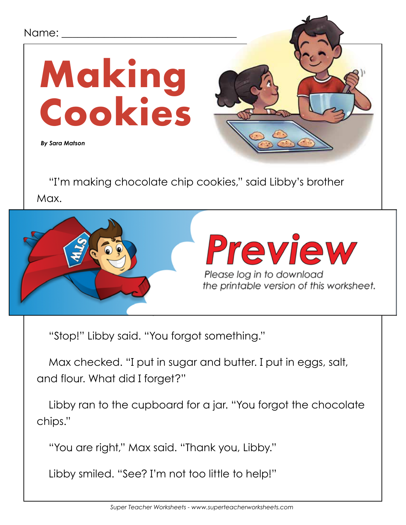## Name: \_ **Making Cookies**  *By Sara Matson*"I'm making chocolate chip cookies," said Libby's brother Max. "Can I help?" Libby asked. **Preview**  $\frac{1}{2}$   $\frac{1}{2}$   $\frac{1}{2}$   $\frac{1}{2}$   $\frac{1}{2}$   $\frac{1}{2}$   $\frac{1}{2}$   $\frac{1}{2}$   $\frac{1}{2}$   $\frac{1}{2}$   $\frac{1}{2}$   $\frac{1}{2}$   $\frac{1}{2}$   $\frac{1}{2}$   $\frac{1}{2}$   $\frac{1}{2}$   $\frac{1}{2}$   $\frac{1}{2}$   $\frac{1}{2}$   $\frac{1}{2}$   $\frac{1}{2}$   $\frac{1}{2}$  Please log in to download<br>the printable version of this worksheet. but the added each salt. He still he still he still he still he still he still he still he still he still he s

"Stop!" Libby said. "You forgot something."

Then he spooned down the panel of the panel of the panel of the panel of

Max checked. "I put in sugar and butter. I put in eggs, salt, and flour. What did I forget?"

Libby ran to the cupboard for a jar. "You forgot the chocolate chips."

"You are right," Max said. "Thank you, Libby."

Libby smiled. "See? I'm not too little to help!"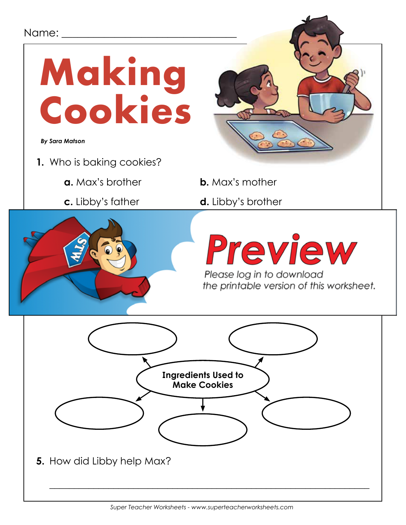